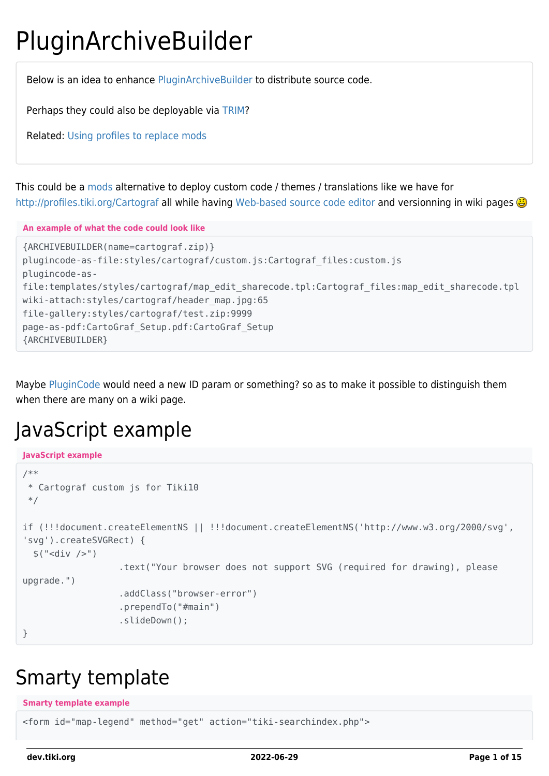# PluginArchiveBuilder

Below is an idea to enhance [PluginArchiveBuilder](http://doc.tiki.org/PluginArchiveBuilder) to distribute source code.

Perhaps they could also be deployable via [TRIM?](https://dev.tiki.org/TRIM)

Related: [Using profiles to replace mods](http://tiki.org/Using%20profiles%20to%20replace%20mods)

This could be a [mods](https://dev.tiki.org/Mods) alternative to deploy custom code / themes / translations like we have for <http://profiles.tiki.org/Cartograf> all while having [Web-based source code editor](https://dev.tiki.org/Web-based-source-code-editor) and versionning in wiki pages

**An example of what the code could look like**

```
{ARCHIVEBUILDER(name=cartograf.zip)}
plugincode-as-file:styles/cartograf/custom.js:Cartograf_files:custom.js
plugincode-as-
file:templates/styles/cartograf/map_edit_sharecode.tpl:Cartograf_files:map_edit_sharecode.tpl
wiki-attach:styles/cartograf/header map.jpg:65
file-gallery:styles/cartograf/test.zip:9999
page-as-pdf:CartoGraf_Setup.pdf:CartoGraf_Setup
{ARCHIVEBUILDER}
```
Maybe [PluginCode](http://doc.tiki.org/PluginCode) would need a new ID param or something? so as to make it possible to distinguish them when there are many on a wiki page.

### JavaScript example

```
JavaScript example
```

```
/**
  * Cartograf custom js for Tiki10
 */
if (!!!document.createElementNS || !!!document.createElementNS('http://www.w3.org/2000/svg',
'svg').createSVGRect) {
  $(''-div />-") .text("Your browser does not support SVG (required for drawing), please
upgrade.")
                    .addClass("browser-error")
                    .prependTo("#main")
                    .slideDown();
}
```
#### Smarty template

**Smarty template example**

<form id="map-legend" method="get" action="tiki-searchindex.php">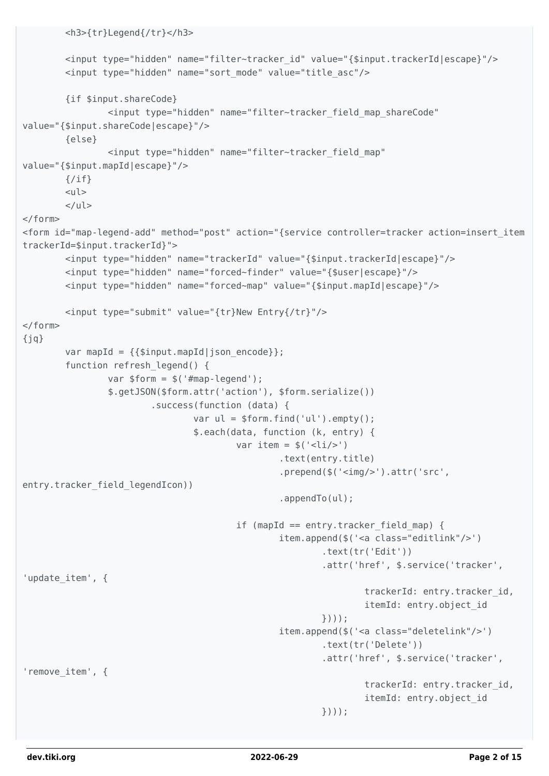```
 <h3>{tr}Legend{/tr}</h3>
        <input type="hidden" name="filter~tracker_id" value="{$input.trackerId|escape}"/>
        <input type="hidden" name="sort_mode" value="title_asc"/>
        {if $input.shareCode}
                <input type="hidden" name="filter~tracker_field_map_shareCode"
value="{$input.shareCode|escape}"/>
        {else}
                <input type="hidden" name="filter~tracker_field_map"
value="{$input.mapId|escape}"/>
       \{/if\}<sub>u</sub>l></sub>
       \langleul>
\lt/form>
<form id="map-legend-add" method="post" action="{service controller=tracker action=insert_item
trackerId=$input.trackerId}">
        <input type="hidden" name="trackerId" value="{$input.trackerId|escape}"/>
        <input type="hidden" name="forced~finder" value="{$user|escape}"/>
        <input type="hidden" name="forced~map" value="{$input.mapId|escape}"/>
        <input type="submit" value="{tr}New Entry{/tr}"/>
</form>{jq}var mapId = \{\{\sinput \text{mapId}\}\ json encode}};
       function refresh legend() {
               var $form = $('#map-legend'); $.getJSON($form.attr('action'), $form.serialize())
                        .success(function (data) {
                               var ul = $form.find('ul').empty();
                                $.each(data, function (k, entry) {
                                       var item = $('<li>/>') .text(entry.title)
                                                .prepend($('<img/>').attr('src',
entry.tracker_field_legendIcon))
                                                .appendTo(ul);
                                       if (mapId == entry.tracker field map) {
                                                item.append($('<a class="editlink"/>')
                                                        .text(tr('Edit'))
                                                        .attr('href', $.service('tracker',
'update_item', {
                                                                trackerId: entry.tracker_id,
                                                                itemId: entry.object_id
\{\}));
                                                item.append($('<a class="deletelink"/>')
                                                        .text(tr('Delete'))
                                                        .attr('href', $.service('tracker',
'remove_item', {
                                                                trackerId: entry.tracker_id,
                                                                itemId: entry.object_id
\{\}));
```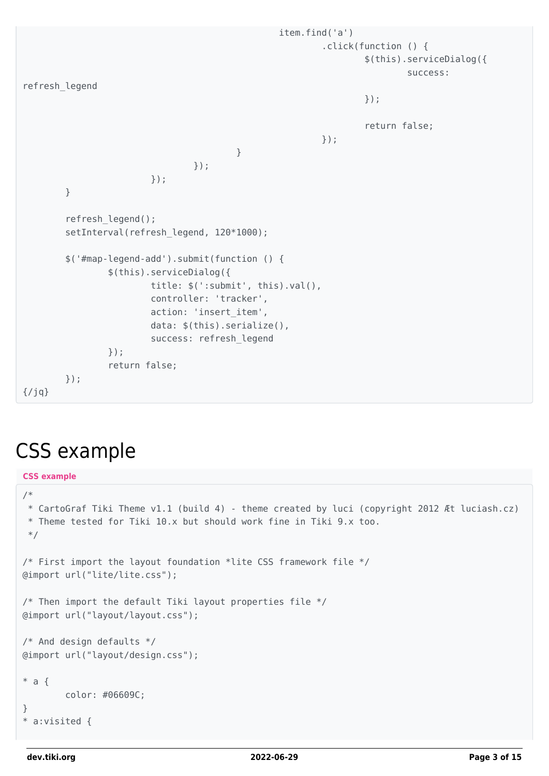```
 item.find('a')
                                               .click(function () {
                                                     $(this).serviceDialog({
success: which is a strong of the strong strong strong strong strong strong strong strong strong strong strong
refresh_legend
\} );
                                                     return false;
\rbrace ) ;
 }
 });
                    });
       }
       refresh_legend();
      setInterval(refresh legend, 120*1000);
       $('#map-legend-add').submit(function () {
              $(this).serviceDialog({
                    title: $(':submit', this).val(),
                    controller: 'tracker',
                    action: 'insert_item',
                    data: $(this).serialize(),
                    success: refresh_legend
              });
              return false;
       });
{/jq}
```
#### CSS example

```
CSS example
```

```
/*
  * CartoGraf Tiki Theme v1.1 (build 4) - theme created by luci (copyright 2012 Æt luciash.cz)
 * Theme tested for Tiki 10.x but should work fine in Tiki 9.x too.
 */
/* First import the layout foundation *lite CSS framework file */
@import url("lite/lite.css");
/* Then import the default Tiki layout properties file */@import url("layout/layout.css");
/* And design defaults */@import url("layout/design.css");
* a f color: #06609C;
}
* a:visited {
```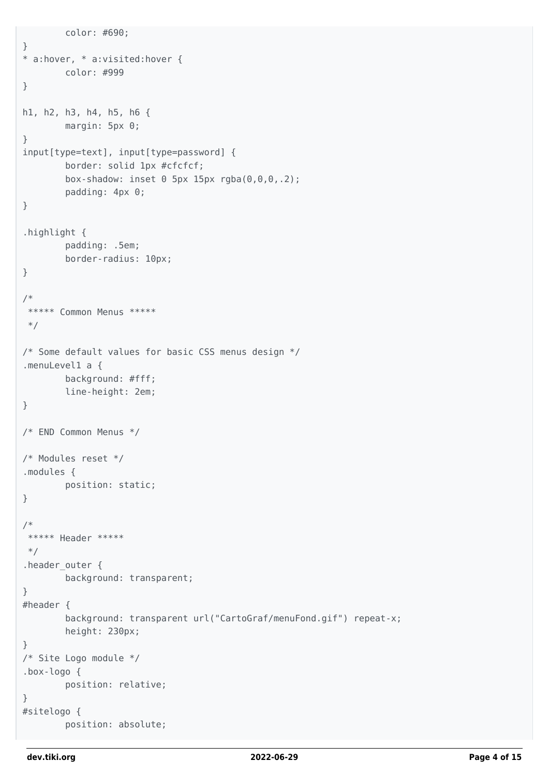```
 color: #690;
}
* a:hover, * a:visited:hover {
         color: #999
}
h1, h2, h3, h4, h5, h6 {
         margin: 5px 0;
}
input[type=text], input[type=password] {
         border: solid 1px #cfcfcf;
         box-shadow: inset 0 5px 15px rgba(0,0,0,.2);
         padding: 4px 0;
}
.highlight {
         padding: .5em;
         border-radius: 10px;
}
/*
***** Common Menus *****
 */
/* Some default values for basic CSS menus design */
.menuLevel1 a {
         background: #fff;
         line-height: 2em;
}
/* END Common Menus */
/* Modules reset */
.modules {
        position: static;
}
/*
 ***** Header *****
 */
.header_outer {
         background: transparent;
}
#header {
         background: transparent url("CartoGraf/menuFond.gif") repeat-x;
         height: 230px;
}
/* Site Logo module */
.box-logo {
         position: relative;
}
#sitelogo {
         position: absolute;
```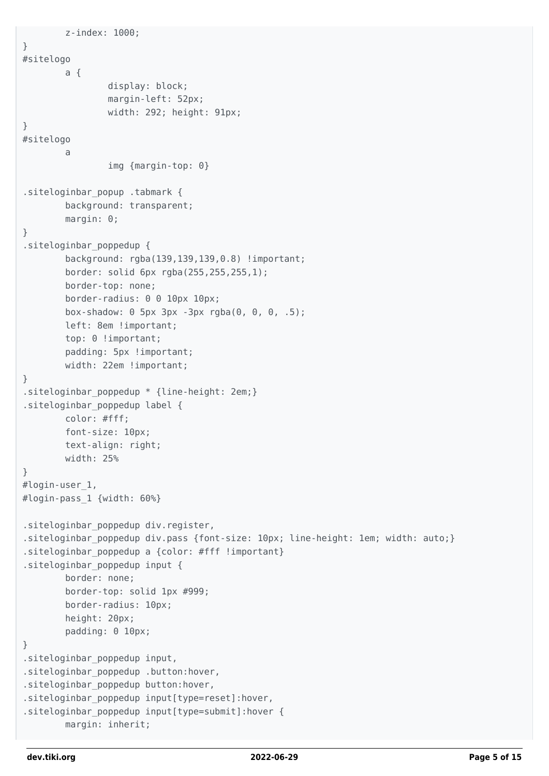```
 z-index: 1000;
}
#sitelogo
         a {
                 display: block;
                 margin-left: 52px;
                 width: 292; height: 91px;
}
#sitelogo
a a shekara ta 1970
                 img {margin-top: 0}
.siteloginbar_popup .tabmark {
         background: transparent;
         margin: 0;
}
.siteloginbar_poppedup {
         background: rgba(139,139,139,0.8) !important;
         border: solid 6px rgba(255,255,255,1);
         border-top: none;
         border-radius: 0 0 10px 10px;
         box-shadow: 0 5px 3px -3px rgba(0, 0, 0, .5);
         left: 8em !important;
        top: 0 !important;
        padding: 5px !important;
        width: 22em !important;
}
.siteloginbar poppedup * {line-height: 2em;}
.siteloginbar_poppedup label {
         color: #fff;
         font-size: 10px;
         text-align: right;
         width: 25%
}
#login-user_1,
#login-pass_1 {width: 60%}
.siteloginbar_poppedup div.register,
.siteloginbar_poppedup div.pass {font-size: 10px; line-height: 1em; width: auto;}
.siteloginbar poppedup a {color: #fff !important}
.siteloginbar_poppedup input {
         border: none;
         border-top: solid 1px #999;
         border-radius: 10px;
         height: 20px;
         padding: 0 10px;
}
.siteloginbar_poppedup input,
.siteloginbar poppedup .button:hover,
.siteloginbar_poppedup button:hover,
.siteloginbar_poppedup input[type=reset]:hover,
.siteloginbar_poppedup input[type=submit]:hover {
         margin: inherit;
```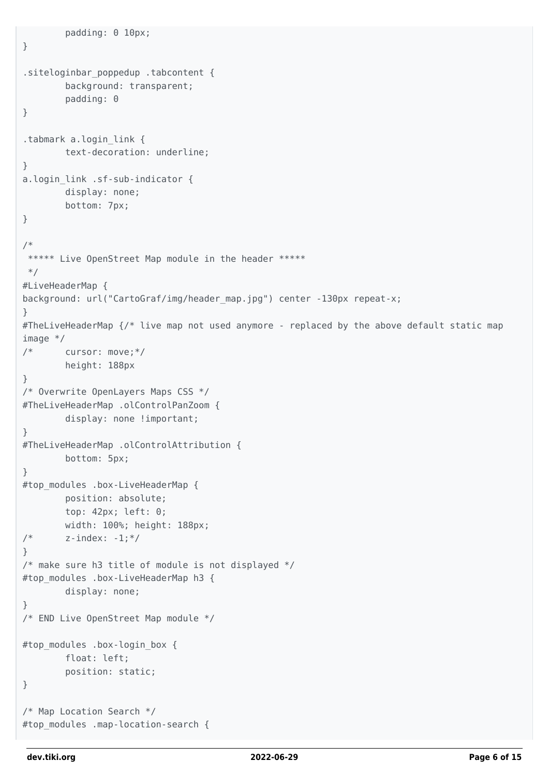```
 padding: 0 10px;
}
.siteloginbar_poppedup .tabcontent {
         background: transparent;
         padding: 0
}
.tabmark a.login_link {
         text-decoration: underline;
}
a.login_link .sf-sub-indicator {
         display: none;
         bottom: 7px;
}
/*
 ***** Live OpenStreet Map module in the header *****
 */
#LiveHeaderMap {
background: url("CartoGraf/img/header_map.jpg") center -130px repeat-x;
}
#TheLiveHeaderMap {/* live map not used anymore - replaced by the above default static map
image */
/* cursor: move;*/
         height: 188px
}
/* Overwrite OpenLayers Maps CSS */
#TheLiveHeaderMap .olControlPanZoom {
        display: none !important;
}
#TheLiveHeaderMap .olControlAttribution {
         bottom: 5px;
}
#top_modules .box-LiveHeaderMap {
         position: absolute;
         top: 42px; left: 0;
         width: 100%; height: 188px;
/* \t z-index: -1; */}
/* make sure h3 title of module is not displayed */
#top modules .box-LiveHeaderMap h3 {
         display: none;
}
/* END Live OpenStreet Map module */
#top_modules .box-login_box {
         float: left;
         position: static;
}
/* Map Location Search */
#top modules .map-location-search {
```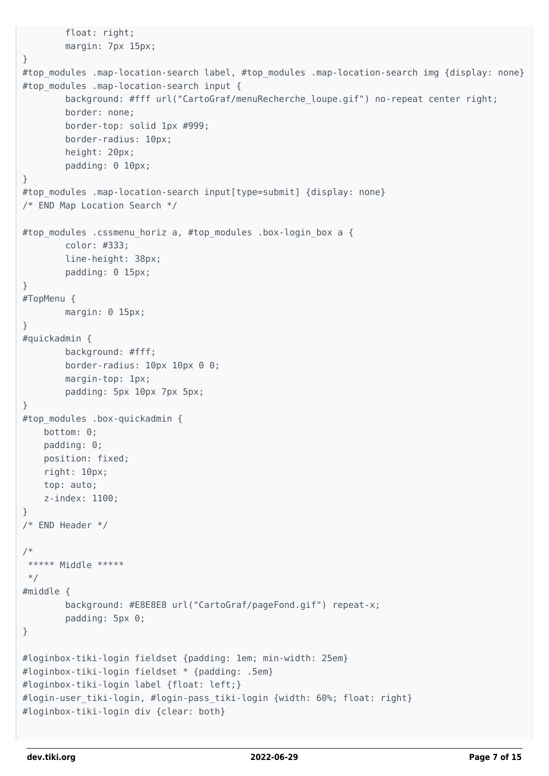```
 float: right;
         margin: 7px 15px;
}
#top modules .map-location-search label, #top modules .map-location-search img {display: none}
#top modules .map-location-search input {
        background: #fff url("CartoGraf/menuRecherche loupe.gif") no-repeat center right;
         border: none;
         border-top: solid 1px #999;
         border-radius: 10px;
         height: 20px;
         padding: 0 10px;
}
#top modules .map-location-search input[type=submit] {display: none}
/* END Map Location Search */
#top modules .cssmenu horiz a, #top modules .box-login box a {
         color: #333;
         line-height: 38px;
         padding: 0 15px;
}
#TopMenu {
         margin: 0 15px;
}
#quickadmin {
         background: #fff;
         border-radius: 10px 10px 0 0;
         margin-top: 1px;
         padding: 5px 10px 7px 5px;
}
#top modules .box-quickadmin {
     bottom: 0;
     padding: 0;
     position: fixed;
     right: 10px;
     top: auto;
     z-index: 1100;
}
/* END Header */
/*
  ***** Middle *****
  */
#middle {
         background: #E8E8E8 url("CartoGraf/pageFond.gif") repeat-x;
         padding: 5px 0;
}
#loginbox-tiki-login fieldset {padding: 1em; min-width: 25em}
#loginbox-tiki-login fieldset * {padding: .5em}
#loginbox-tiki-login label {float: left;}
#login-user tiki-login, #login-pass tiki-login {width: 60%; float: right}
#loginbox-tiki-login div {clear: both}
```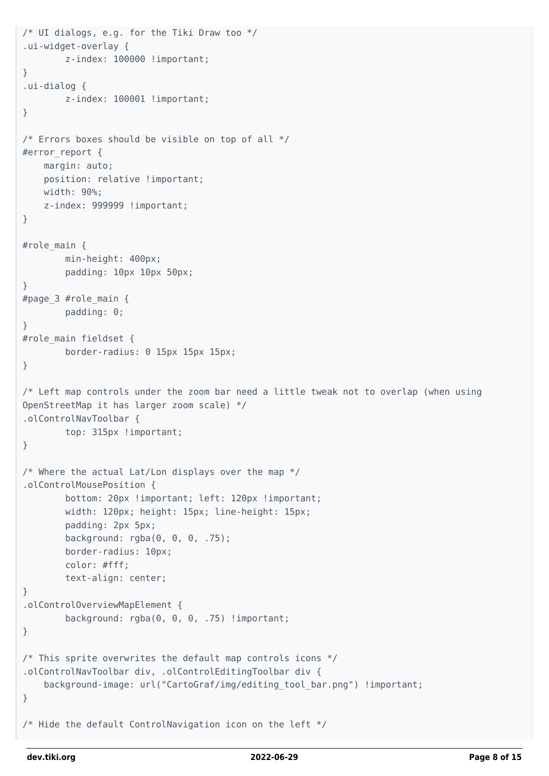```
/* UI dialogs, e.g. for the Tiki Draw too */
.ui-widget-overlay {
         z-index: 100000 !important;
}
.ui-dialog {
        z-index: 100001 !important;
}
/* Errors boxes should be visible on top of all */#error_report {
     margin: auto;
    position: relative !important;
     width: 90%;
    z-index: 999999 !important;
}
#role main {
         min-height: 400px;
         padding: 10px 10px 50px;
}
#page_3 #role_main {
         padding: 0;
}
#role main fieldset {
         border-radius: 0 15px 15px 15px;
}
/* Left map controls under the zoom bar need a little tweak not to overlap (when using
OpenStreetMap it has larger zoom scale) */
.olControlNavToolbar {
         top: 315px !important;
}
/* Where the actual Lat/Lon displays over the map */.olControlMousePosition {
         bottom: 20px !important; left: 120px !important;
         width: 120px; height: 15px; line-height: 15px;
         padding: 2px 5px;
         background: rgba(0, 0, 0, .75);
         border-radius: 10px;
         color: #fff;
         text-align: center;
}
.olControlOverviewMapElement {
        background: rgba(0, 0, 0, .75) !important;
}
/* This sprite overwrites the default map controls icons */
.olControlNavToolbar div, .olControlEditingToolbar div {
     background-image: url("CartoGraf/img/editing_tool_bar.png") !important;
}
/* Hide the default ControlNavigation icon on the left */
```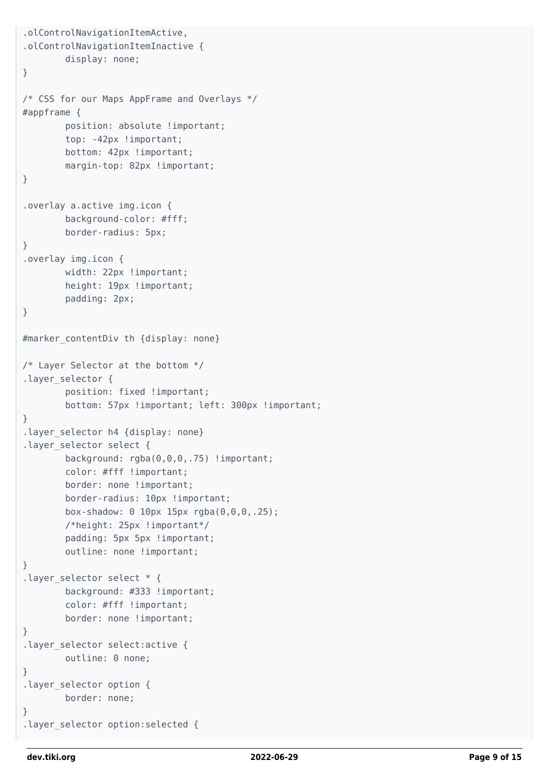```
.olControlNavigationItemActive,
.olControlNavigationItemInactive {
         display: none;
}
/* CSS for our Maps AppFrame and Overlays */
#appframe {
        position: absolute !important;
         top: -42px !important;
         bottom: 42px !important;
        margin-top: 82px !important;
}
.overlay a.active img.icon {
         background-color: #fff;
         border-radius: 5px;
}
.overlay img.icon {
        width: 22px !important;
        height: 19px !important;
         padding: 2px;
}
#marker contentDiv th {display: none}
/* Layer Selector at the bottom */
.layer selector {
         position: fixed !important;
         bottom: 57px !important; left: 300px !important;
}
.layer selector h4 {display: none}
.layer selector select {
        background: rgba(0,0,0,.75) !important;
         color: #fff !important;
        border: none !important;
         border-radius: 10px !important;
         box-shadow: 0 10px 15px rgba(0,0,0,.25);
         /*height: 25px !important*/
        padding: 5px 5px !important;
         outline: none !important;
}
.layer selector select * {
        background: #333 !important;
         color: #fff !important;
         border: none !important;
}
.layer selector select:active {
         outline: 0 none;
}
.layer selector option {
         border: none;
}
.layer selector option: selected {
```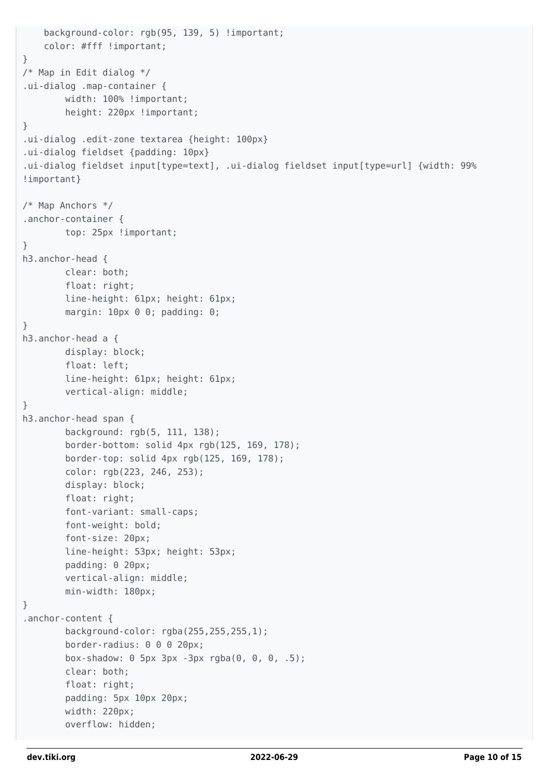```
 background-color: rgb(95, 139, 5) !important;
     color: #fff !important;
}
/* Map in Edit dialog */
.ui-dialog .map-container {
         width: 100% !important;
        height: 220px !important;
}
.ui-dialog .edit-zone textarea {height: 100px}
.ui-dialog fieldset {padding: 10px}
.ui-dialog fieldset input[type=text], .ui-dialog fieldset input[type=url] {width: 99%
!important}
/* Map Anchors */
.anchor-container {
         top: 25px !important;
}
h3.anchor-head {
         clear: both;
         float: right;
         line-height: 61px; height: 61px;
        margin: 10px 0 0; padding: 0;
}
h3.anchor-head a {
         display: block;
         float: left;
         line-height: 61px; height: 61px;
         vertical-align: middle;
}
h3.anchor-head span {
         background: rgb(5, 111, 138);
         border-bottom: solid 4px rgb(125, 169, 178);
         border-top: solid 4px rgb(125, 169, 178);
         color: rgb(223, 246, 253);
         display: block;
         float: right;
         font-variant: small-caps;
         font-weight: bold;
         font-size: 20px;
         line-height: 53px; height: 53px;
         padding: 0 20px;
         vertical-align: middle;
         min-width: 180px;
}
.anchor-content {
         background-color: rgba(255,255,255,1);
         border-radius: 0 0 0 20px;
         box-shadow: 0 5px 3px -3px rgba(0, 0, 0, .5);
         clear: both;
         float: right;
         padding: 5px 10px 20px;
         width: 220px;
         overflow: hidden;
```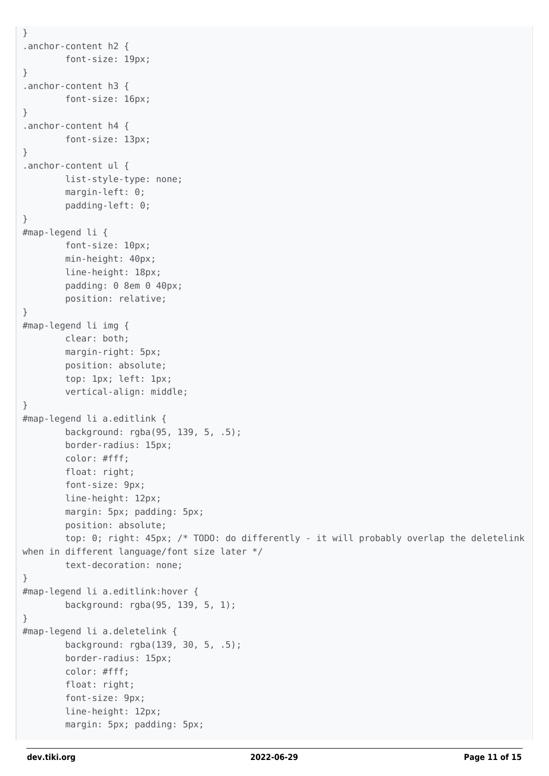```
}
.anchor-content h2 {
         font-size: 19px;
}
.anchor-content h3 {
         font-size: 16px;
}
.anchor-content h4 {
         font-size: 13px;
}
.anchor-content ul {
         list-style-type: none;
         margin-left: 0;
         padding-left: 0;
}
#map-legend li {
         font-size: 10px;
         min-height: 40px;
         line-height: 18px;
         padding: 0 8em 0 40px;
         position: relative;
}
#map-legend li img {
         clear: both;
         margin-right: 5px;
         position: absolute;
         top: 1px; left: 1px;
         vertical-align: middle;
}
#map-legend li a.editlink {
         background: rgba(95, 139, 5, .5);
         border-radius: 15px;
         color: #fff;
         float: right;
         font-size: 9px;
         line-height: 12px;
         margin: 5px; padding: 5px;
         position: absolute;
         top: 0; right: 45px; /* TODO: do differently - it will probably overlap the deletelink
when in different language/font size later */
         text-decoration: none;
}
#map-legend li a.editlink:hover {
         background: rgba(95, 139, 5, 1);
}
#map-legend li a.deletelink {
         background: rgba(139, 30, 5, .5);
         border-radius: 15px;
         color: #fff;
         float: right;
         font-size: 9px;
         line-height: 12px;
         margin: 5px; padding: 5px;
```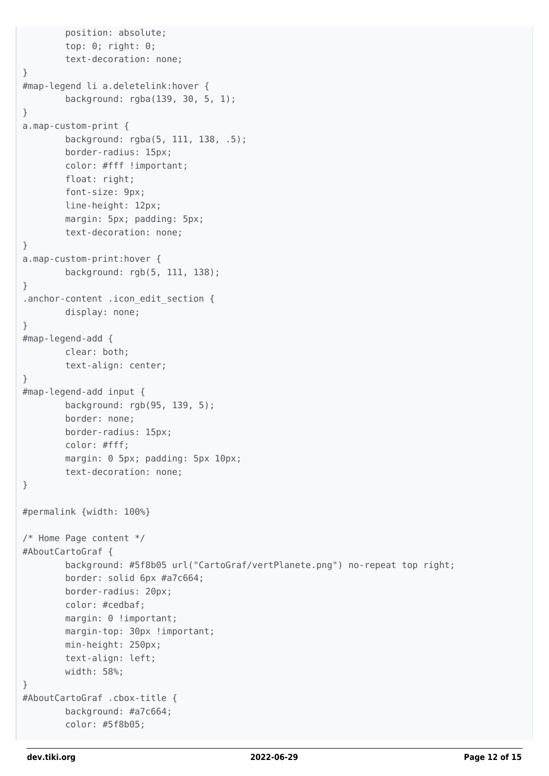```
 position: absolute;
         top: 0; right: 0;
         text-decoration: none;
}
#map-legend li a.deletelink:hover {
         background: rgba(139, 30, 5, 1);
}
a.map-custom-print {
         background: rgba(5, 111, 138, .5);
         border-radius: 15px;
         color: #fff !important;
         float: right;
         font-size: 9px;
         line-height: 12px;
         margin: 5px; padding: 5px;
         text-decoration: none;
}
a.map-custom-print:hover {
         background: rgb(5, 111, 138);
}
.anchor-content .icon edit section {
         display: none;
}
#map-legend-add {
         clear: both;
         text-align: center;
}
#map-legend-add input {
         background: rgb(95, 139, 5);
         border: none;
         border-radius: 15px;
         color: #fff;
         margin: 0 5px; padding: 5px 10px;
         text-decoration: none;
}
#permalink {width: 100%}
/* Home Page content */
#AboutCartoGraf {
         background: #5f8b05 url("CartoGraf/vertPlanete.png") no-repeat top right;
         border: solid 6px #a7c664;
         border-radius: 20px;
         color: #cedbaf;
        margin: 0 !important;
        margin-top: 30px !important;
         min-height: 250px;
         text-align: left;
         width: 58%;
}
#AboutCartoGraf .cbox-title {
         background: #a7c664;
         color: #5f8b05;
```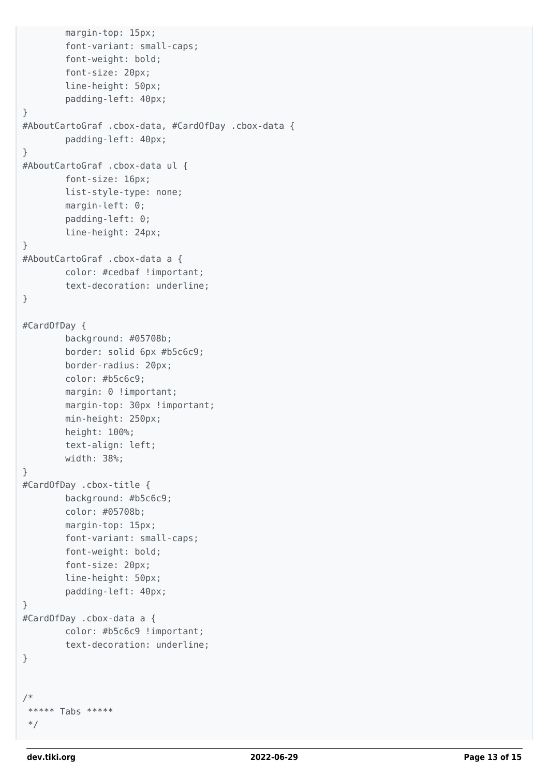```
 margin-top: 15px;
         font-variant: small-caps;
         font-weight: bold;
         font-size: 20px;
         line-height: 50px;
         padding-left: 40px;
}
#AboutCartoGraf .cbox-data, #CardOfDay .cbox-data {
         padding-left: 40px;
}
#AboutCartoGraf .cbox-data ul {
         font-size: 16px;
         list-style-type: none;
         margin-left: 0;
         padding-left: 0;
         line-height: 24px;
}
#AboutCartoGraf .cbox-data a {
         color: #cedbaf !important;
         text-decoration: underline;
}
#CardOfDay {
         background: #05708b;
         border: solid 6px #b5c6c9;
         border-radius: 20px;
         color: #b5c6c9;
        margin: 0 !important;
        margin-top: 30px !important;
         min-height: 250px;
         height: 100%;
         text-align: left;
         width: 38%;
}
#CardOfDay .cbox-title {
         background: #b5c6c9;
         color: #05708b;
         margin-top: 15px;
         font-variant: small-caps;
         font-weight: bold;
         font-size: 20px;
         line-height: 50px;
         padding-left: 40px;
}
#CardOfDay .cbox-data a {
         color: #b5c6c9 !important;
         text-decoration: underline;
}
/*
  ***** Tabs *****
  */
```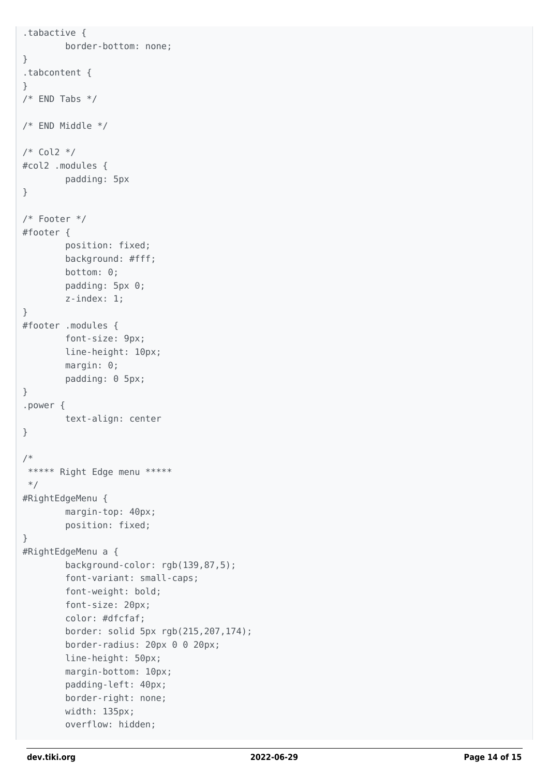```
.tabactive {
         border-bottom: none;
}
.tabcontent {
}
/* END Tabs *//* END Middle */
/* Col2 */
#col2 .modules {
         padding: 5px
}
/* Footer */
#footer {
         position: fixed;
         background: #fff;
         bottom: 0;
         padding: 5px 0;
         z-index: 1;
}
#footer .modules {
         font-size: 9px;
         line-height: 10px;
         margin: 0;
         padding: 0 5px;
}
.power {
         text-align: center
}
/*
 ***** Right Edge menu *****
 */
#RightEdgeMenu {
         margin-top: 40px;
         position: fixed;
}
#RightEdgeMenu a {
         background-color: rgb(139,87,5);
         font-variant: small-caps;
         font-weight: bold;
         font-size: 20px;
         color: #dfcfaf;
         border: solid 5px rgb(215,207,174);
         border-radius: 20px 0 0 20px;
         line-height: 50px;
         margin-bottom: 10px;
         padding-left: 40px;
         border-right: none;
         width: 135px;
         overflow: hidden;
```